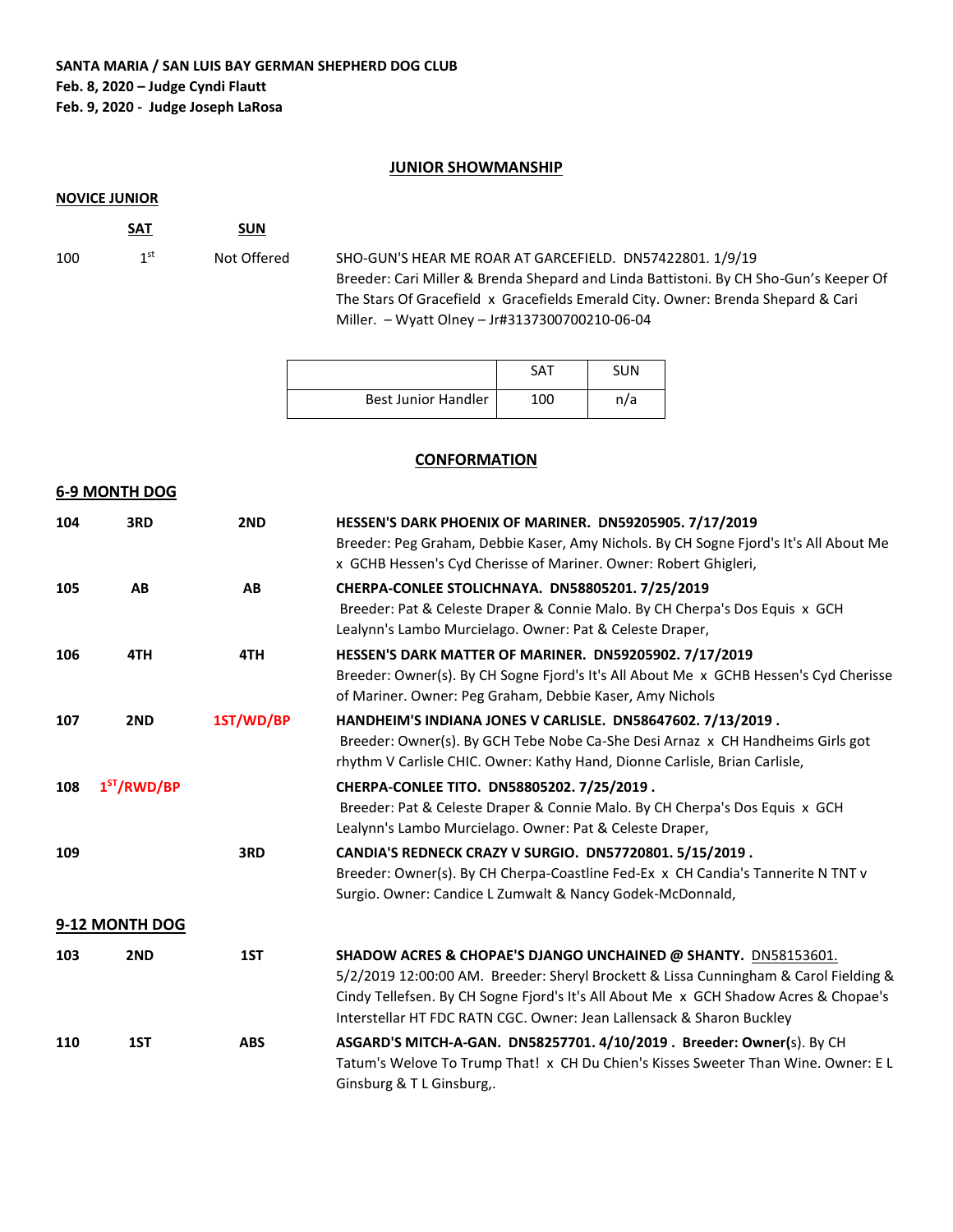### **SANTA MARIA / SAN LUIS BAY GERMAN SHEPHERD DOG CLUB Feb. 8, 2020 – Judge Cyndi Flautt Feb. 9, 2020 - Judge Joseph LaRosa**

### **JUNIOR SHOWMANSHIP**

#### **NOVICE JUNIOR**

**SAT SUN** 100  $1^{\text{st}}$ 

Not Offered SHO-GUN'S HEAR ME ROAR AT GARCEFIELD. DN57422801. 1/9/19 Breeder: Cari Miller & Brenda Shepard and Linda Battistoni. By CH Sho-Gun's Keeper Of The Stars Of Gracefield x Gracefields Emerald City. Owner: Brenda Shepard & Cari Miller. – Wyatt Olney – Jr#3137300700210-06-04

|                            | SAT | SUN |
|----------------------------|-----|-----|
| <b>Best Junior Handler</b> | 100 | n/a |

### **CONFORMATION**

#### **6-9 MONTH DOG**

| 104 | 3RD            | 2ND        | HESSEN'S DARK PHOENIX OF MARINER. DN59205905. 7/17/2019                                                                                                                                                                                                                                                                 |
|-----|----------------|------------|-------------------------------------------------------------------------------------------------------------------------------------------------------------------------------------------------------------------------------------------------------------------------------------------------------------------------|
|     |                |            | Breeder: Peg Graham, Debbie Kaser, Amy Nichols. By CH Sogne Fjord's It's All About Me<br>x GCHB Hessen's Cyd Cherisse of Mariner. Owner: Robert Ghigleri,                                                                                                                                                               |
| 105 | AB             | AB         | CHERPA-CONLEE STOLICHNAYA. DN58805201.7/25/2019<br>Breeder: Pat & Celeste Draper & Connie Malo. By CH Cherpa's Dos Equis x GCH<br>Lealynn's Lambo Murcielago. Owner: Pat & Celeste Draper,                                                                                                                              |
| 106 | 4TH            | 4TH        | HESSEN'S DARK MATTER OF MARINER. DN59205902. 7/17/2019<br>Breeder: Owner(s). By CH Sogne Fjord's It's All About Me x GCHB Hessen's Cyd Cherisse<br>of Mariner. Owner: Peg Graham, Debbie Kaser, Amy Nichols                                                                                                             |
| 107 | 2ND            | 1ST/WD/BP  | HANDHEIM'S INDIANA JONES V CARLISLE. DN58647602. 7/13/2019.<br>Breeder: Owner(s). By GCH Tebe Nobe Ca-She Desi Arnaz x CH Handheims Girls got<br>rhythm V Carlisle CHIC. Owner: Kathy Hand, Dionne Carlisle, Brian Carlisle,                                                                                            |
| 108 | $1ST$ /RWD/BP  |            | CHERPA-CONLEE TITO. DN58805202. 7/25/2019.<br>Breeder: Pat & Celeste Draper & Connie Malo. By CH Cherpa's Dos Equis x GCH<br>Lealynn's Lambo Murcielago. Owner: Pat & Celeste Draper,                                                                                                                                   |
| 109 |                | 3RD        | CANDIA'S REDNECK CRAZY V SURGIO. DN57720801. 5/15/2019.<br>Breeder: Owner(s). By CH Cherpa-Coastline Fed-Ex x CH Candia's Tannerite N TNT v<br>Surgio. Owner: Candice L Zumwalt & Nancy Godek-McDonnald,                                                                                                                |
|     | 9-12 MONTH DOG |            |                                                                                                                                                                                                                                                                                                                         |
| 103 | 2ND            | 1ST        | SHADOW ACRES & CHOPAE'S DJANGO UNCHAINED @ SHANTY. DN58153601.<br>5/2/2019 12:00:00 AM. Breeder: Sheryl Brockett & Lissa Cunningham & Carol Fielding &<br>Cindy Tellefsen. By CH Sogne Fjord's It's All About Me x GCH Shadow Acres & Chopae's<br>Interstellar HT FDC RATN CGC. Owner: Jean Lallensack & Sharon Buckley |
| 110 | 1ST            | <b>ABS</b> | ASGARD'S MITCH-A-GAN. DN58257701. 4/10/2019 . Breeder: Owner(s). By CH<br>Tatum's Welove To Trump That! x CH Du Chien's Kisses Sweeter Than Wine. Owner: E L<br>Ginsburg & T L Ginsburg,.                                                                                                                               |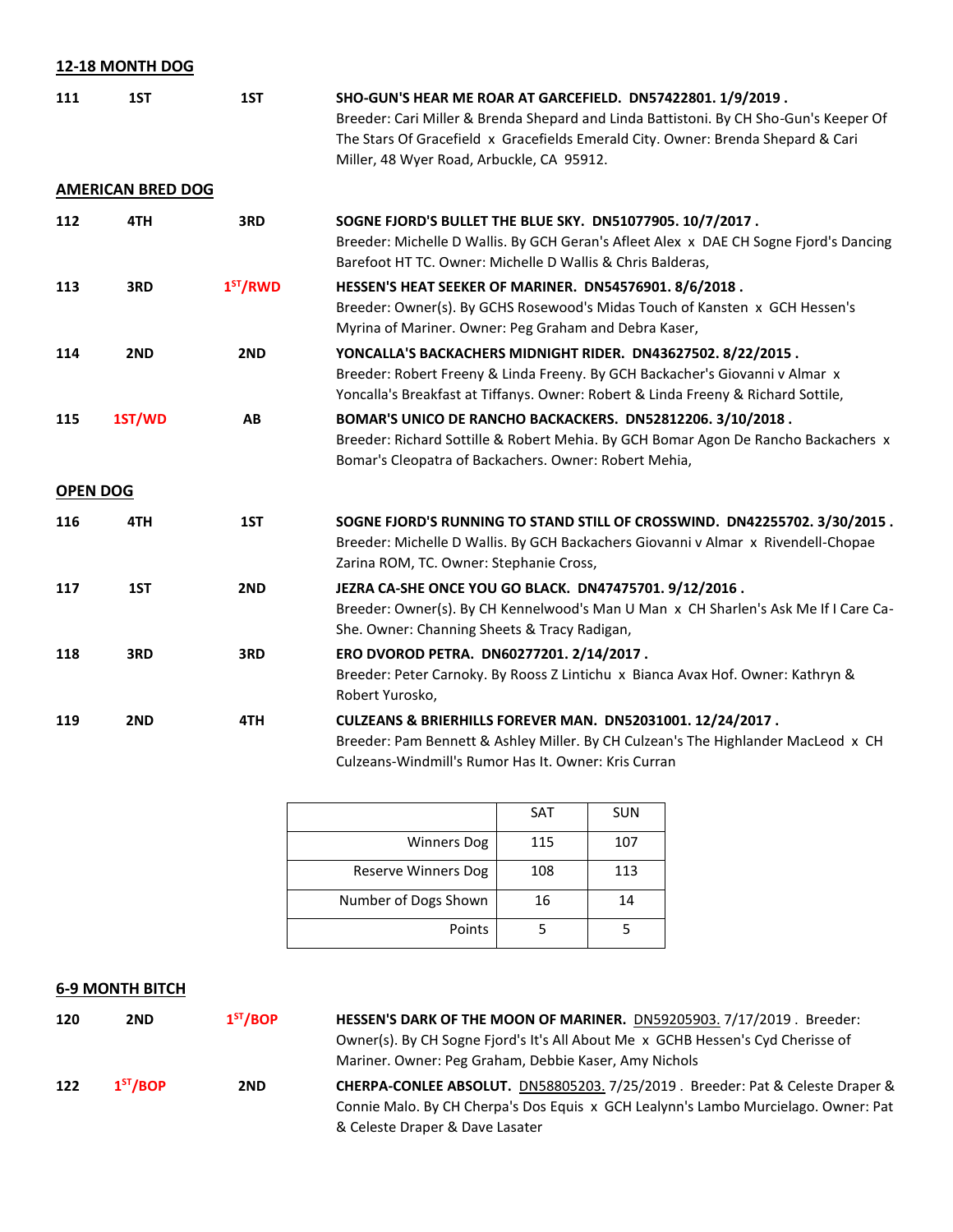## **12-18 MONTH DOG**

**AMERICAN BRED DOG**

| 111 | 1ST | 1ST | SHO-GUN'S HEAR ME ROAR AT GARCEFIELD. DN57422801. 1/9/2019.                           |  |  |
|-----|-----|-----|---------------------------------------------------------------------------------------|--|--|
|     |     |     | Breeder: Cari Miller & Brenda Shepard and Linda Battistoni. By CH Sho-Gun's Keeper Of |  |  |
|     |     |     | The Stars Of Gracefield x Gracefields Emerald City. Owner: Brenda Shepard & Cari      |  |  |
|     |     |     | Miller, 48 Wyer Road, Arbuckle, CA 95912.                                             |  |  |
|     |     |     |                                                                                       |  |  |

| 112 | 4TH             | 3RD        | SOGNE FJORD'S BULLET THE BLUE SKY. DN51077905. 10/7/2017.<br>Breeder: Michelle D Wallis. By GCH Geran's Afleet Alex x DAE CH Sogne Fjord's Dancing<br>Barefoot HT TC. Owner: Michelle D Wallis & Chris Balderas,                  |
|-----|-----------------|------------|-----------------------------------------------------------------------------------------------------------------------------------------------------------------------------------------------------------------------------------|
| 113 | 3RD             | $1ST$ /RWD | HESSEN'S HEAT SEEKER OF MARINER. DN54576901. 8/6/2018.<br>Breeder: Owner(s). By GCHS Rosewood's Midas Touch of Kansten x GCH Hessen's<br>Myrina of Mariner. Owner: Peg Graham and Debra Kaser,                                    |
| 114 | 2ND             | 2ND        | YONCALLA'S BACKACHERS MIDNIGHT RIDER. DN43627502. 8/22/2015.<br>Breeder: Robert Freeny & Linda Freeny. By GCH Backacher's Giovanni v Almar x<br>Yoncalla's Breakfast at Tiffanys. Owner: Robert & Linda Freeny & Richard Sottile, |
| 115 | 1ST/WD          | AB         | BOMAR'S UNICO DE RANCHO BACKACKERS. DN52812206. 3/10/2018.<br>Breeder: Richard Sottille & Robert Mehia. By GCH Bomar Agon De Rancho Backachers x<br>Bomar's Cleopatra of Backachers. Owner: Robert Mehia,                         |
|     | <b>OPEN DOG</b> |            |                                                                                                                                                                                                                                   |
| 116 | 4TH             | 1ST        | SOGNE FJORD'S RUNNING TO STAND STILL OF CROSSWIND. DN42255702. 3/30/2015.<br>Breeder: Michelle D Wallis. By GCH Backachers Giovanni v Almar x Rivendell-Chopae<br>Zarina ROM, TC. Owner: Stephanie Cross,                         |
| 117 | 1ST             | 2ND        | JEZRA CA-SHE ONCE YOU GO BLACK. DN47475701. 9/12/2016.<br>Breeder: Owner(s). By CH Kennelwood's Man U Man x CH Sharlen's Ask Me If I Care Ca-<br>She. Owner: Channing Sheets & Tracy Radigan,                                     |
| 118 | 3RD             | 3RD        | ERO DVOROD PETRA. DN60277201. 2/14/2017.<br>Breeder: Peter Carnoky. By Rooss Z Lintichu x Bianca Avax Hof. Owner: Kathryn &<br>Robert Yurosko,                                                                                    |
| 119 | 2ND             | 4TH        | <b>CULZEANS &amp; BRIERHILLS FOREVER MAN. DN52031001. 12/24/2017.</b><br>Breeder: Pam Bennett & Ashley Miller. By CH Culzean's The Highlander MacLeod x CH<br>Culzeans-Windmill's Rumor Has It. Owner: Kris Curran                |

|                      | <b>SAT</b> | <b>SUN</b> |
|----------------------|------------|------------|
| <b>Winners Dog</b>   | 115        | 107        |
| Reserve Winners Dog  | 108        | 113        |
| Number of Dogs Shown | 16         | 14         |
| Points               |            |            |

# **6-9 MONTH BITCH**

| 120 | 2ND                  | 1 <sup>ST</sup> /BOP | HESSEN'S DARK OF THE MOON OF MARINER. DN59205903. 7/17/2019. Breeder:                |
|-----|----------------------|----------------------|--------------------------------------------------------------------------------------|
|     |                      |                      | Owner(s). By CH Sogne Fjord's It's All About Me x GCHB Hessen's Cyd Cherisse of      |
|     |                      |                      | Mariner. Owner: Peg Graham, Debbie Kaser, Amy Nichols                                |
| 122 | 1 <sup>ST</sup> /BOP | 2ND                  | <b>CHERPA-CONLEE ABSOLUT.</b> DN58805203. 7/25/2019. Breeder: Pat & Celeste Draper & |
|     |                      |                      | Connie Malo. By CH Cherpa's Dos Equis x GCH Lealynn's Lambo Murcielago. Owner: Pat   |
|     |                      |                      | & Celeste Draper & Dave Lasater                                                      |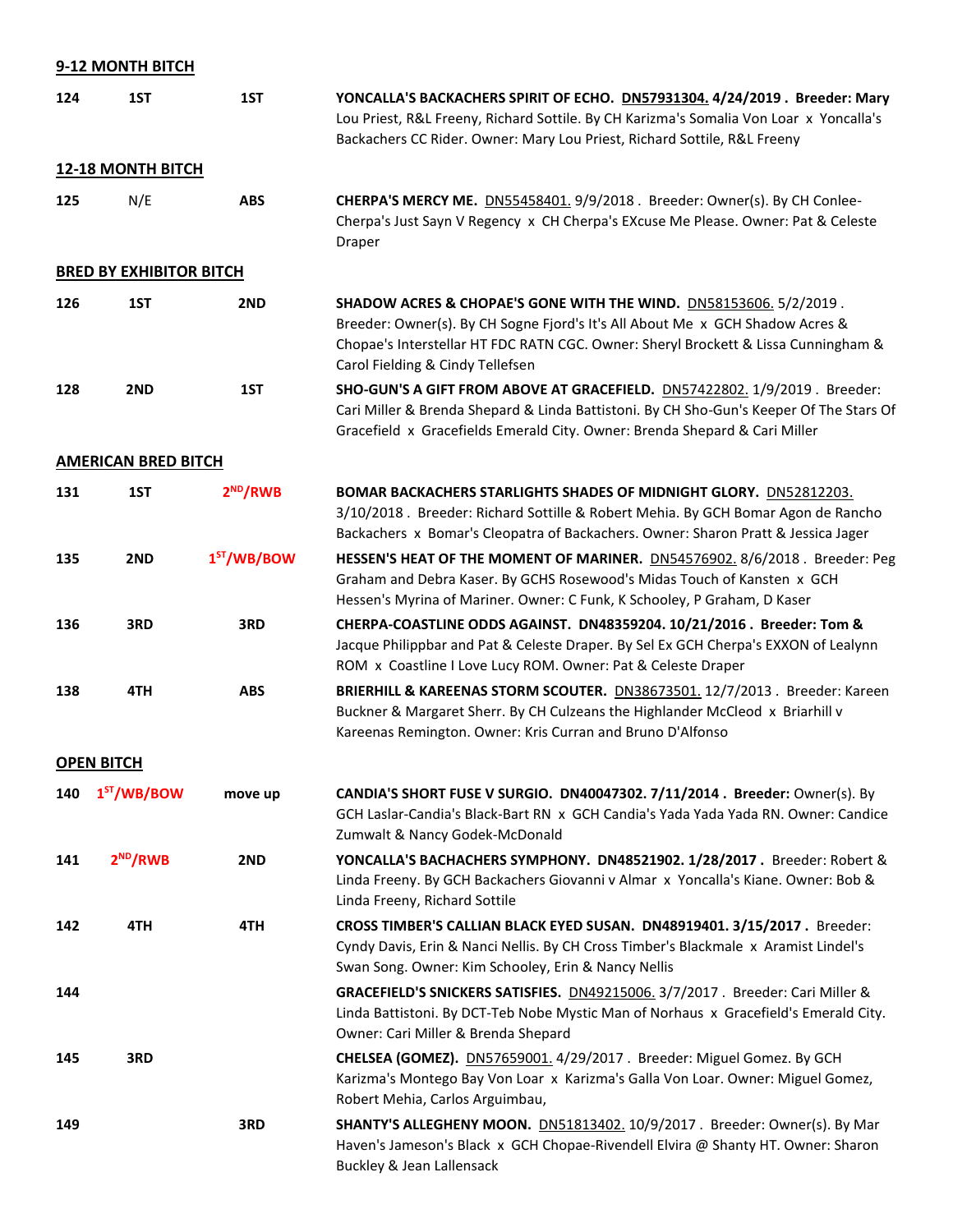## **9-12 MONTH BITCH**

| 124 | 1ST                            | 1ST                        | YONCALLA'S BACKACHERS SPIRIT OF ECHO. DN57931304. 4/24/2019. Breeder: Mary<br>Lou Priest, R&L Freeny, Richard Sottile. By CH Karizma's Somalia Von Loar x Yoncalla's<br>Backachers CC Rider. Owner: Mary Lou Priest, Richard Sottile, R&L Freeny                             |
|-----|--------------------------------|----------------------------|------------------------------------------------------------------------------------------------------------------------------------------------------------------------------------------------------------------------------------------------------------------------------|
|     | <b>12-18 MONTH BITCH</b>       |                            |                                                                                                                                                                                                                                                                              |
| 125 | N/E                            | <b>ABS</b>                 | CHERPA'S MERCY ME. <b>DN55458401.</b> 9/9/2018 . Breeder: Owner(s). By CH Conlee-<br>Cherpa's Just Sayn V Regency x CH Cherpa's EXcuse Me Please. Owner: Pat & Celeste<br>Draper                                                                                             |
|     | <b>BRED BY EXHIBITOR BITCH</b> |                            |                                                                                                                                                                                                                                                                              |
| 126 | 1ST                            | 2ND                        | SHADOW ACRES & CHOPAE'S GONE WITH THE WIND. DN58153606. 5/2/2019.<br>Breeder: Owner(s). By CH Sogne Fjord's It's All About Me x GCH Shadow Acres &<br>Chopae's Interstellar HT FDC RATN CGC. Owner: Sheryl Brockett & Lissa Cunningham &<br>Carol Fielding & Cindy Tellefsen |
| 128 | 2ND                            | 1ST                        | SHO-GUN'S A GIFT FROM ABOVE AT GRACEFIELD. DN57422802. 1/9/2019. Breeder:<br>Cari Miller & Brenda Shepard & Linda Battistoni. By CH Sho-Gun's Keeper Of The Stars Of<br>Gracefield x Gracefields Emerald City. Owner: Brenda Shepard & Cari Miller                           |
|     | <b>AMERICAN BRED BITCH</b>     |                            |                                                                                                                                                                                                                                                                              |
| 131 | 1ST                            | $2^{ND}/RWB$               | <b>BOMAR BACKACHERS STARLIGHTS SHADES OF MIDNIGHT GLORY.</b> DN52812203.<br>3/10/2018 . Breeder: Richard Sottille & Robert Mehia. By GCH Bomar Agon de Rancho<br>Backachers x Bomar's Cleopatra of Backachers. Owner: Sharon Pratt & Jessica Jager                           |
| 135 | 2ND                            | 1 <sup>ST</sup> / WB / BOW | HESSEN'S HEAT OF THE MOMENT OF MARINER. DN54576902. 8/6/2018. Breeder: Peg<br>Graham and Debra Kaser. By GCHS Rosewood's Midas Touch of Kansten x GCH<br>Hessen's Myrina of Mariner. Owner: C Funk, K Schooley, P Graham, D Kaser                                            |
| 136 | 3RD                            | 3RD                        | CHERPA-COASTLINE ODDS AGAINST. DN48359204. 10/21/2016. Breeder: Tom &<br>Jacque Philippbar and Pat & Celeste Draper. By Sel Ex GCH Cherpa's EXXON of Lealynn<br>ROM x Coastline I Love Lucy ROM. Owner: Pat & Celeste Draper                                                 |
| 138 | 4TH                            | <b>ABS</b>                 | BRIERHILL & KAREENAS STORM SCOUTER. DN38673501. 12/7/2013. Breeder: Kareen<br>Buckner & Margaret Sherr. By CH Culzeans the Highlander McCleod x Briarhill v<br>Kareenas Remington. Owner: Kris Curran and Bruno D'Alfonso                                                    |
|     | <b>OPEN BITCH</b>              |                            |                                                                                                                                                                                                                                                                              |
| 140 | 1 <sup>ST</sup> /WB/BOW        | move up                    | CANDIA'S SHORT FUSE V SURGIO. DN40047302. 7/11/2014. Breeder: Owner(s). By<br>GCH Laslar-Candia's Black-Bart RN x GCH Candia's Yada Yada Yada RN. Owner: Candice<br>Zumwalt & Nancy Godek-McDonald                                                                           |
| 141 | $2^{ND}/RWB$                   | 2ND                        | YONCALLA'S BACHACHERS SYMPHONY. DN48521902. 1/28/2017. Breeder: Robert &<br>Linda Freeny. By GCH Backachers Giovanni v Almar x Yoncalla's Kiane. Owner: Bob &<br>Linda Freeny, Richard Sottile                                                                               |
| 142 | 4TH                            | 4TH                        | CROSS TIMBER'S CALLIAN BLACK EYED SUSAN. DN48919401. 3/15/2017. Breeder:<br>Cyndy Davis, Erin & Nanci Nellis. By CH Cross Timber's Blackmale x Aramist Lindel's<br>Swan Song. Owner: Kim Schooley, Erin & Nancy Nellis                                                       |
| 144 |                                |                            | GRACEFIELD'S SNICKERS SATISFIES. DN49215006. 3/7/2017. Breeder: Cari Miller &<br>Linda Battistoni. By DCT-Teb Nobe Mystic Man of Norhaus x Gracefield's Emerald City.<br>Owner: Cari Miller & Brenda Shepard                                                                 |
| 145 | 3RD                            |                            | CHELSEA (GOMEZ). DN57659001. 4/29/2017 . Breeder: Miguel Gomez. By GCH<br>Karizma's Montego Bay Von Loar x Karizma's Galla Von Loar. Owner: Miguel Gomez,<br>Robert Mehia, Carlos Arguimbau,                                                                                 |
| 149 |                                | 3RD                        | SHANTY'S ALLEGHENY MOON. DN51813402. 10/9/2017 . Breeder: Owner(s). By Mar<br>Haven's Jameson's Black x GCH Chopae-Rivendell Elvira @ Shanty HT. Owner: Sharon<br><b>Buckley &amp; Jean Lallensack</b>                                                                       |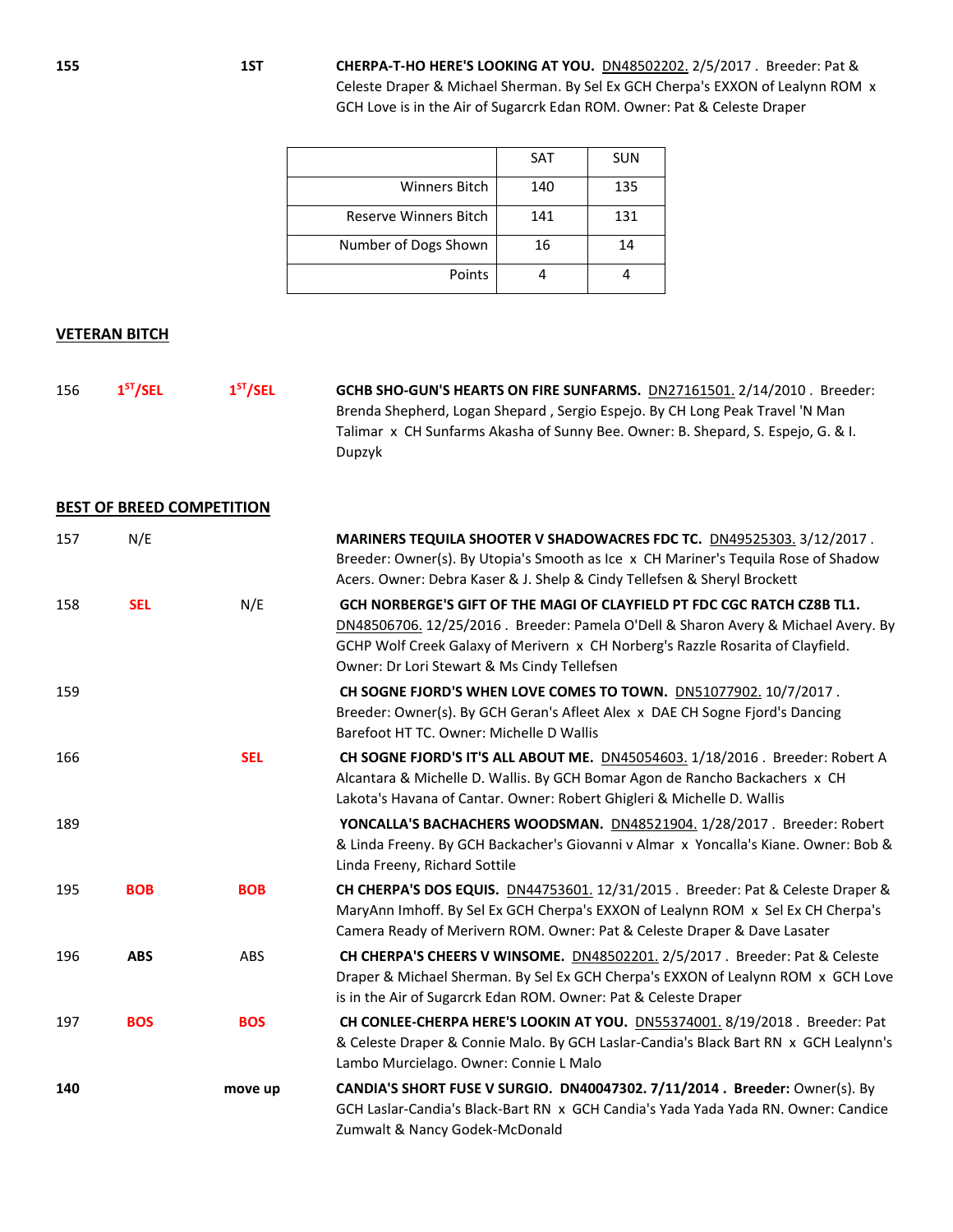**155 1ST CHERPA-T-HO HERE'S LOOKING AT YOU.** DN48502202. 2/5/2017 . Breeder: Pat & Celeste Draper & Michael Sherman. By Sel Ex GCH Cherpa's EXXON of Lealynn ROM x GCH Love is in the Air of Sugarcrk Edan ROM. Owner: Pat & Celeste Draper

|                              | <b>SAT</b> | <b>SUN</b> |
|------------------------------|------------|------------|
| <b>Winners Bitch</b>         | 140        | 135        |
| <b>Reserve Winners Bitch</b> | 141        | 131        |
| Number of Dogs Shown         | 16         | 14         |
| Points                       |            |            |

### **VETERAN BITCH**

| 156 | 1 <sup>ST</sup> /SEL | 1 <sup>ST</sup> /SEL | GCHB SHO-GUN'S HEARTS ON FIRE SUNFARMS. DN27161501. 2/14/2010. Breeder:          |
|-----|----------------------|----------------------|----------------------------------------------------------------------------------|
|     |                      |                      | Brenda Shepherd, Logan Shepard, Sergio Espejo. By CH Long Peak Travel 'N Man     |
|     |                      |                      | Talimar x CH Sunfarms Akasha of Sunny Bee. Owner: B. Shepard, S. Espejo, G. & I. |
|     |                      |                      | Dupzyk                                                                           |

### **BEST OF BREED COMPETITION**

| 157 | N/E        |            | MARINERS TEQUILA SHOOTER V SHADOWACRES FDC TC. DN49525303. 3/12/2017.<br>Breeder: Owner(s). By Utopia's Smooth as Ice x CH Mariner's Tequila Rose of Shadow<br>Acers. Owner: Debra Kaser & J. Shelp & Cindy Tellefsen & Sheryl Brockett                                                         |
|-----|------------|------------|-------------------------------------------------------------------------------------------------------------------------------------------------------------------------------------------------------------------------------------------------------------------------------------------------|
| 158 | <b>SEL</b> | N/E        | GCH NORBERGE'S GIFT OF THE MAGI OF CLAYFIELD PT FDC CGC RATCH CZ8B TL1.<br>DN48506706. 12/25/2016 . Breeder: Pamela O'Dell & Sharon Avery & Michael Avery. By<br>GCHP Wolf Creek Galaxy of Merivern x CH Norberg's Razzle Rosarita of Clayfield.<br>Owner: Dr Lori Stewart & Ms Cindy Tellefsen |
| 159 |            |            | CH SOGNE FJORD'S WHEN LOVE COMES TO TOWN. DN51077902. 10/7/2017.<br>Breeder: Owner(s). By GCH Geran's Afleet Alex x DAE CH Sogne Fjord's Dancing<br>Barefoot HT TC. Owner: Michelle D Wallis                                                                                                    |
| 166 |            | <b>SEL</b> | CH SOGNE FJORD'S IT'S ALL ABOUT ME. DN45054603. 1/18/2016. Breeder: Robert A<br>Alcantara & Michelle D. Wallis. By GCH Bomar Agon de Rancho Backachers x CH<br>Lakota's Havana of Cantar. Owner: Robert Ghigleri & Michelle D. Wallis                                                           |
| 189 |            |            | YONCALLA'S BACHACHERS WOODSMAN. DN48521904. 1/28/2017. Breeder: Robert<br>& Linda Freeny. By GCH Backacher's Giovanni v Almar x Yoncalla's Kiane. Owner: Bob &<br>Linda Freeny, Richard Sottile                                                                                                 |
| 195 | <b>BOB</b> | <b>BOB</b> | CH CHERPA'S DOS EQUIS. DN44753601. 12/31/2015. Breeder: Pat & Celeste Draper &<br>MaryAnn Imhoff. By Sel Ex GCH Cherpa's EXXON of Lealynn ROM x Sel Ex CH Cherpa's<br>Camera Ready of Merivern ROM. Owner: Pat & Celeste Draper & Dave Lasater                                                  |
| 196 | <b>ABS</b> | ABS        | CH CHERPA'S CHEERS V WINSOME. DN48502201. 2/5/2017. Breeder: Pat & Celeste<br>Draper & Michael Sherman. By Sel Ex GCH Cherpa's EXXON of Lealynn ROM x GCH Love<br>is in the Air of Sugarcrk Edan ROM. Owner: Pat & Celeste Draper                                                               |
| 197 | <b>BOS</b> | <b>BOS</b> | CH CONLEE-CHERPA HERE'S LOOKIN AT YOU. DN55374001. 8/19/2018. Breeder: Pat<br>& Celeste Draper & Connie Malo. By GCH Laslar-Candia's Black Bart RN x GCH Lealynn's<br>Lambo Murcielago. Owner: Connie L Malo                                                                                    |
| 140 |            | move up    | CANDIA'S SHORT FUSE V SURGIO. DN40047302. 7/11/2014. Breeder: Owner(s). By<br>GCH Laslar-Candia's Black-Bart RN x GCH Candia's Yada Yada Yada RN. Owner: Candice<br>Zumwalt & Nancy Godek-McDonald                                                                                              |